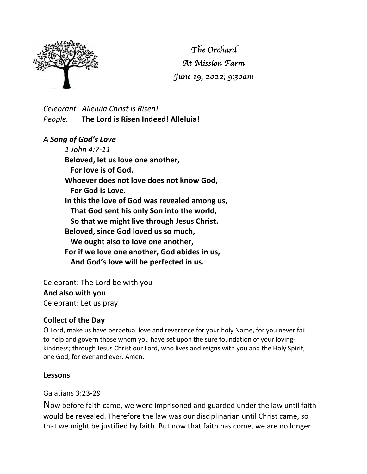

*The Orchard At Mission Farm June 19, 2022; 9:30am* 

*Celebrant Alleluia Christ is Risen! People.* **The Lord is Risen Indeed! Alleluia!**

# *A Song of God's Love*

*1 John 4:7-11* **Beloved, let us love one another, For love is of God. Whoever does not love does not know God, For God is Love. In this the love of God was revealed among us, That God sent his only Son into the world, So that we might live through Jesus Christ. Beloved, since God loved us so much, We ought also to love one another, For if we love one another, God abides in us, And God's love will be perfected in us.**

Celebrant: The Lord be with you **And also with you** Celebrant: Let us pray

## **Collect of the Day**

O Lord, make us have perpetual love and reverence for your holy Name, for you never fail to help and govern those whom you have set upon the sure foundation of your lovingkindness; through Jesus Christ our Lord, who lives and reigns with you and the Holy Spirit, one God, for ever and ever. Amen.

### **Lessons**

Galatians 3:23-29

Now before faith came, we were imprisoned and guarded under the law until faith would be revealed. Therefore the law was our disciplinarian until Christ came, so that we might be justified by faith. But now that faith has come, we are no longer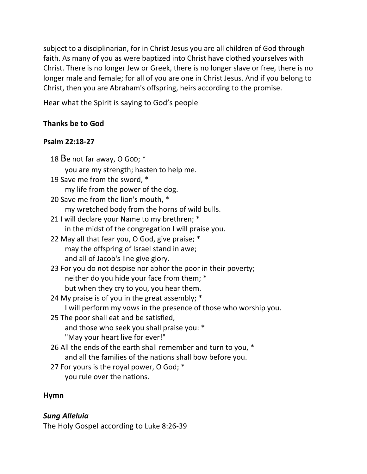subject to a disciplinarian, for in Christ Jesus you are all children of God through faith. As many of you as were baptized into Christ have clothed yourselves with Christ. There is no longer Jew or Greek, there is no longer slave or free, there is no longer male and female; for all of you are one in Christ Jesus. And if you belong to Christ, then you are Abraham's offspring, heirs according to the promise.

Hear what the Spirit is saying to God's people

# **Thanks be to God**

## **Psalm 22:18-27**

| 18 Be not far away, O GOD; *                                     |
|------------------------------------------------------------------|
| you are my strength; hasten to help me.                          |
| 19 Save me from the sword, *                                     |
| my life from the power of the dog.                               |
| 20 Save me from the lion's mouth, *                              |
| my wretched body from the horns of wild bulls.                   |
| 21 I will declare your Name to my brethren; *                    |
| in the midst of the congregation I will praise you.              |
| 22 May all that fear you, O God, give praise; *                  |
| may the offspring of Israel stand in awe;                        |
| and all of Jacob's line give glory.                              |
| 23 For you do not despise nor abhor the poor in their poverty;   |
| neither do you hide your face from them; *                       |
| but when they cry to you, you hear them.                         |
| 24 My praise is of you in the great assembly; *                  |
| I will perform my vows in the presence of those who worship you. |
| 25 The poor shall eat and be satisfied,                          |
| and those who seek you shall praise you: *                       |
| "May your heart live for ever!"                                  |
| 26 All the ends of the earth shall remember and turn to you, *   |
| and all the families of the nations shall bow before you.        |
| 27 For yours is the royal power, O God; *                        |
| you rule over the nations.                                       |

# **Hymn**

# *Sung Alleluia*

The Holy Gospel according to Luke 8:26-39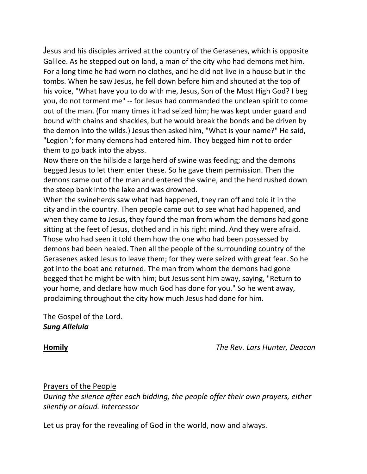Jesus and his disciples arrived at the country of the Gerasenes, which is opposite Galilee. As he stepped out on land, a man of the city who had demons met him. For a long time he had worn no clothes, and he did not live in a house but in the tombs. When he saw Jesus, he fell down before him and shouted at the top of his voice, "What have you to do with me, Jesus, Son of the Most High God? I beg you, do not torment me" -- for Jesus had commanded the unclean spirit to come out of the man. (For many times it had seized him; he was kept under guard and bound with chains and shackles, but he would break the bonds and be driven by the demon into the wilds.) Jesus then asked him, "What is your name?" He said, "Legion"; for many demons had entered him. They begged him not to order them to go back into the abyss.

Now there on the hillside a large herd of swine was feeding; and the demons begged Jesus to let them enter these. So he gave them permission. Then the demons came out of the man and entered the swine, and the herd rushed down the steep bank into the lake and was drowned.

When the swineherds saw what had happened, they ran off and told it in the city and in the country. Then people came out to see what had happened, and when they came to Jesus, they found the man from whom the demons had gone sitting at the feet of Jesus, clothed and in his right mind. And they were afraid. Those who had seen it told them how the one who had been possessed by demons had been healed. Then all the people of the surrounding country of the Gerasenes asked Jesus to leave them; for they were seized with great fear. So he got into the boat and returned. The man from whom the demons had gone begged that he might be with him; but Jesus sent him away, saying, "Return to your home, and declare how much God has done for you." So he went away, proclaiming throughout the city how much Jesus had done for him.

The Gospel of the Lord. *Sung Alleluia*

**Homily** *The Rev. Lars Hunter, Deacon*

## Prayers of the People

*During the silence after each bidding, the people offer their own prayers, either silently or aloud. Intercessor* 

Let us pray for the revealing of God in the world, now and always.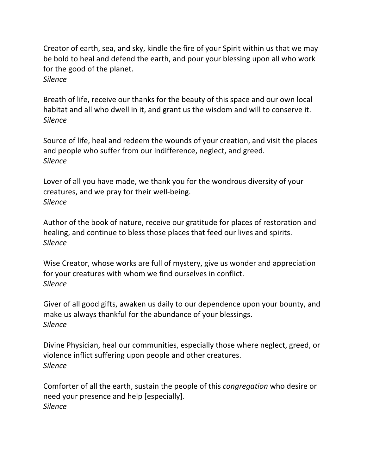Creator of earth, sea, and sky, kindle the fire of your Spirit within us that we may be bold to heal and defend the earth, and pour your blessing upon all who work for the good of the planet. *Silence* 

Breath of life, receive our thanks for the beauty of this space and our own local habitat and all who dwell in it, and grant us the wisdom and will to conserve it. *Silence* 

Source of life, heal and redeem the wounds of your creation, and visit the places and people who suffer from our indifference, neglect, and greed. *Silence* 

Lover of all you have made, we thank you for the wondrous diversity of your creatures, and we pray for their well-being. *Silence* 

Author of the book of nature, receive our gratitude for places of restoration and healing, and continue to bless those places that feed our lives and spirits. *Silence* 

Wise Creator, whose works are full of mystery, give us wonder and appreciation for your creatures with whom we find ourselves in conflict. *Silence* 

Giver of all good gifts, awaken us daily to our dependence upon your bounty, and make us always thankful for the abundance of your blessings. *Silence* 

Divine Physician, heal our communities, especially those where neglect, greed, or violence inflict suffering upon people and other creatures. *Silence* 

Comforter of all the earth, sustain the people of this *congregation* who desire or need your presence and help [especially]. *Silence*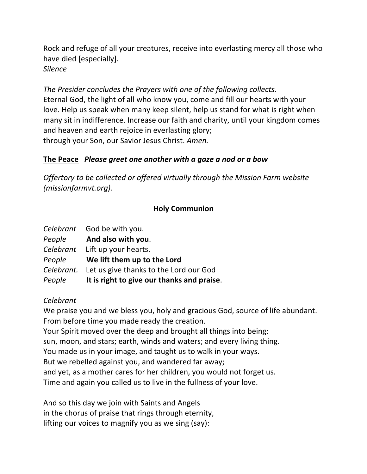Rock and refuge of all your creatures, receive into everlasting mercy all those who have died [especially]. *Silence* 

*The Presider concludes the Prayers with one of the following collects.*  Eternal God, the light of all who know you, come and fill our hearts with your love. Help us speak when many keep silent, help us stand for what is right when many sit in indifference. Increase our faith and charity, until your kingdom comes and heaven and earth rejoice in everlasting glory; through your Son, our Savior Jesus Christ. *Amen.*

# **The Peace** *Please greet one another with a gaze a nod or a bow*

*Offertory to be collected or offered virtually through the Mission Farm website (missionfarmvt.org).*

# **Holy Communion**

|        | Celebrant God be with you.                        |
|--------|---------------------------------------------------|
|        | People And also with you.                         |
|        | Celebrant Lift up your hearts.                    |
|        | People We lift them up to the Lord                |
|        | Celebrant. Let us give thanks to the Lord our God |
| People | It is right to give our thanks and praise.        |

# *Celebrant*

We praise you and we bless you, holy and gracious God, source of life abundant. From before time you made ready the creation. Your Spirit moved over the deep and brought all things into being: sun, moon, and stars; earth, winds and waters; and every living thing. You made us in your image, and taught us to walk in your ways. But we rebelled against you, and wandered far away;

and yet, as a mother cares for her children, you would not forget us.

Time and again you called us to live in the fullness of your love.

And so this day we join with Saints and Angels in the chorus of praise that rings through eternity, lifting our voices to magnify you as we sing (say):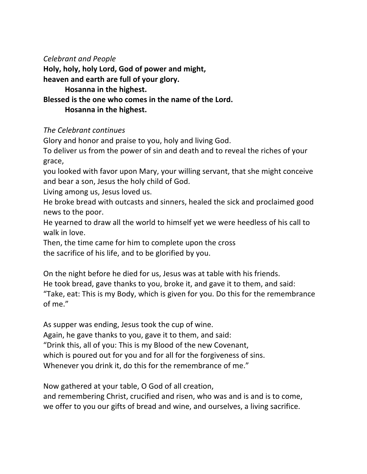## *Celebrant and People*

**Holy, holy, holy Lord, God of power and might,**

**heaven and earth are full of your glory.**

**Hosanna in the highest.**

**Blessed is the one who comes in the name of the Lord.**

**Hosanna in the highest.**

*The Celebrant continues*

Glory and honor and praise to you, holy and living God.

To deliver us from the power of sin and death and to reveal the riches of your grace,

you looked with favor upon Mary, your willing servant, that she might conceive and bear a son, Jesus the holy child of God.

Living among us, Jesus loved us.

He broke bread with outcasts and sinners, healed the sick and proclaimed good news to the poor.

He yearned to draw all the world to himself yet we were heedless of his call to walk in love.

Then, the time came for him to complete upon the cross

the sacrifice of his life, and to be glorified by you.

On the night before he died for us, Jesus was at table with his friends. He took bread, gave thanks to you, broke it, and gave it to them, and said: "Take, eat: This is my Body, which is given for you. Do this for the remembrance of me."

As supper was ending, Jesus took the cup of wine.

Again, he gave thanks to you, gave it to them, and said:

"Drink this, all of you: This is my Blood of the new Covenant,

which is poured out for you and for all for the forgiveness of sins.

Whenever you drink it, do this for the remembrance of me."

Now gathered at your table, O God of all creation,

and remembering Christ, crucified and risen, who was and is and is to come, we offer to you our gifts of bread and wine, and ourselves, a living sacrifice.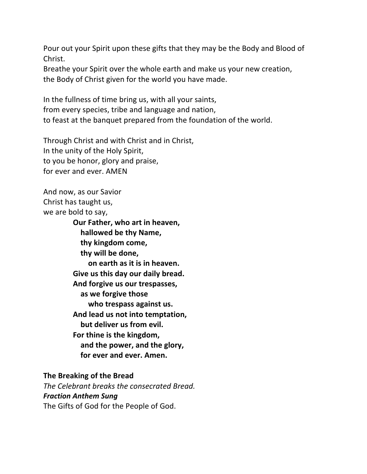Pour out your Spirit upon these gifts that they may be the Body and Blood of Christ.

Breathe your Spirit over the whole earth and make us your new creation, the Body of Christ given for the world you have made.

In the fullness of time bring us, with all your saints, from every species, tribe and language and nation, to feast at the banquet prepared from the foundation of the world.

Through Christ and with Christ and in Christ, In the unity of the Holy Spirit, to you be honor, glory and praise, for ever and ever. AMEN

And now, as our Savior Christ has taught us, we are bold to say,

> **Our Father, who art in heaven, hallowed be thy Name, thy kingdom come, thy will be done, on earth as it is in heaven. Give us this day our daily bread. And forgive us our trespasses, as we forgive those who trespass against us. And lead us not into temptation, but deliver us from evil. For thine is the kingdom, and the power, and the glory, for ever and ever. Amen.**

### **The Breaking of the Bread**

*The Celebrant breaks the consecrated Bread. Fraction Anthem Sung* The Gifts of God for the People of God.